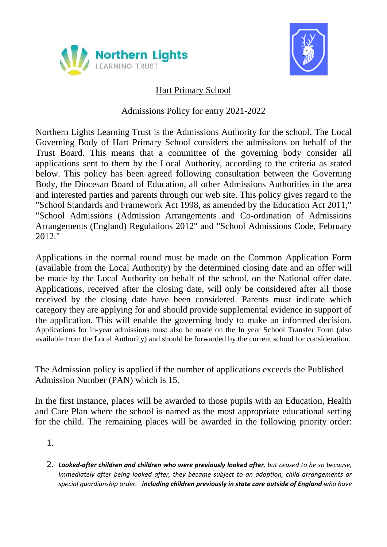



# Hart Primary School

## Admissions Policy for entry 2021-2022

Northern Lights Learning Trust is the Admissions Authority for the school. The Local Governing Body of Hart Primary School considers the admissions on behalf of the Trust Board. This means that a committee of the governing body consider all applications sent to them by the Local Authority, according to the criteria as stated below. This policy has been agreed following consultation between the Governing Body, the Diocesan Board of Education, all other Admissions Authorities in the area and interested parties and parents through our web site. This policy gives regard to the "School Standards and Framework Act 1998, as amended by the Education Act 2011," "School Admissions (Admission Arrangements and Co-ordination of Admissions Arrangements (England) Regulations 2012" and "School Admissions Code, February 2012."

Applications in the normal round must be made on the Common Application Form (available from the Local Authority) by the determined closing date and an offer will be made by the Local Authority on behalf of the school, on the National offer date. Applications, received after the closing date, will only be considered after all those received by the closing date have been considered. Parents must indicate which category they are applying for and should provide supplemental evidence in support of the application. This will enable the governing body to make an informed decision. Applications for in-year admissions must also be made on the In year School Transfer Form (also available from the Local Authority) and should be forwarded by the current school for consideration.

The Admission policy is applied if the number of applications exceeds the Published Admission Number (PAN) which is 15.

In the first instance, places will be awarded to those pupils with an Education, Health and Care Plan where the school is named as the most appropriate educational setting for the child. The remaining places will be awarded in the following priority order:

- 1.
- 2. *Looked-after children and children who were previously looked after, but ceased to be so because, immediately after being looked after, they became subject to an adoption, child arrangements or special guardianship order. including children previously in state care outside of England who have*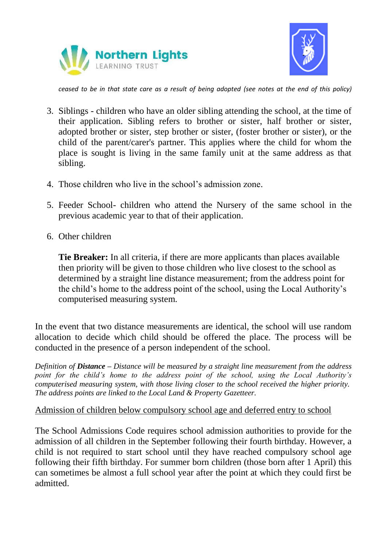



*ceased to be in that state care as a result of being adopted (see notes at the end of this policy)*

- 3. Siblings children who have an older sibling attending the school, at the time of their application. Sibling refers to brother or sister, half brother or sister, adopted brother or sister, step brother or sister, (foster brother or sister), or the child of the parent/carer's partner. This applies where the child for whom the place is sought is living in the same family unit at the same address as that sibling.
- 4. Those children who live in the school's admission zone.
- 5. Feeder School- children who attend the Nursery of the same school in the previous academic year to that of their application.
- 6. Other children

**Tie Breaker:** In all criteria, if there are more applicants than places available then priority will be given to those children who live closest to the school as determined by a straight line distance measurement; from the address point for the child's home to the address point of the school, using the Local Authority's computerised measuring system.

In the event that two distance measurements are identical, the school will use random allocation to decide which child should be offered the place. The process will be conducted in the presence of a person independent of the school.

*Definition of Distance – Distance will be measured by a straight line measurement from the address point for the child's home to the address point of the school, using the Local Authority's computerised measuring system, with those living closer to the school received the higher priority. The address points are linked to the Local Land & Property Gazetteer.*

### Admission of children below compulsory school age and deferred entry to school

The School Admissions Code requires school admission authorities to provide for the admission of all children in the September following their fourth birthday. However, a child is not required to start school until they have reached compulsory school age following their fifth birthday. For summer born children (those born after 1 April) this can sometimes be almost a full school year after the point at which they could first be admitted.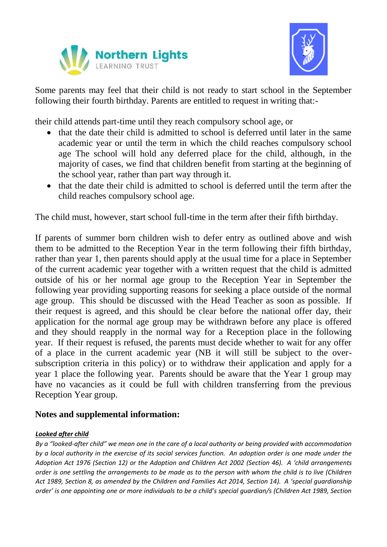



Some parents may feel that their child is not ready to start school in the September following their fourth birthday. Parents are entitled to request in writing that:-

their child attends part-time until they reach compulsory school age, or

- that the date their child is admitted to school is deferred until later in the same academic year or until the term in which the child reaches compulsory school age The school will hold any deferred place for the child, although, in the majority of cases, we find that children benefit from starting at the beginning of the school year, rather than part way through it.
- that the date their child is admitted to school is deferred until the term after the child reaches compulsory school age.

The child must, however, start school full-time in the term after their fifth birthday.

If parents of summer born children wish to defer entry as outlined above and wish them to be admitted to the Reception Year in the term following their fifth birthday, rather than year 1, then parents should apply at the usual time for a place in September of the current academic year together with a written request that the child is admitted outside of his or her normal age group to the Reception Year in September the following year providing supporting reasons for seeking a place outside of the normal age group. This should be discussed with the Head Teacher as soon as possible. If their request is agreed, and this should be clear before the national offer day, their application for the normal age group may be withdrawn before any place is offered and they should reapply in the normal way for a Reception place in the following year. If their request is refused, the parents must decide whether to wait for any offer of a place in the current academic year (NB it will still be subject to the oversubscription criteria in this policy) or to withdraw their application and apply for a year 1 place the following year. Parents should be aware that the Year 1 group may have no vacancies as it could be full with children transferring from the previous Reception Year group.

### **Notes and supplemental information:**

#### *Looked after child*

*By a "looked-after child" we mean one in the care of a local authority or being provided with accommodation by a local authority in the exercise of its social services function. An adoption order is one made under the Adoption Act 1976 (Section 12) or the Adoption and Children Act 2002 (Section 46). A 'child arrangements order is one settling the arrangements to be made as to the person with whom the child is to live (Children Act 1989, Section 8, as amended by the Children and Families Act 2014, Section 14). A 'special guardianship order' is one appointing one or more individuals to be a child's special guardian/s (Children Act 1989, Section*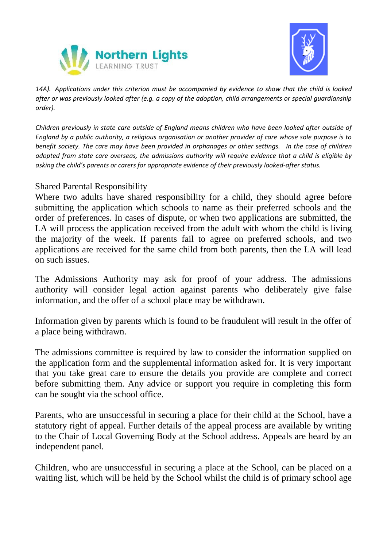



*14A). Applications under this criterion must be accompanied by evidence to show that the child is looked after or was previously looked after (e.g. a copy of the adoption, child arrangements or special guardianship order).*

*Children previously in state care outside of England means children who have been looked after outside of England by a public authority, a religious organisation or another provider of care whose sole purpose is to benefit society. The care may have been provided in orphanages or other settings. In the case of children adopted from state care overseas, the admissions authority will require evidence that a child is eligible by asking the child's parents or carers for appropriate evidence of their previously looked-after status.*

#### Shared Parental Responsibility

Where two adults have shared responsibility for a child, they should agree before submitting the application which schools to name as their preferred schools and the order of preferences. In cases of dispute, or when two applications are submitted, the LA will process the application received from the adult with whom the child is living the majority of the week. If parents fail to agree on preferred schools, and two applications are received for the same child from both parents, then the LA will lead on such issues.

The Admissions Authority may ask for proof of your address. The admissions authority will consider legal action against parents who deliberately give false information, and the offer of a school place may be withdrawn.

Information given by parents which is found to be fraudulent will result in the offer of a place being withdrawn.

The admissions committee is required by law to consider the information supplied on the application form and the supplemental information asked for. It is very important that you take great care to ensure the details you provide are complete and correct before submitting them. Any advice or support you require in completing this form can be sought via the school office.

Parents, who are unsuccessful in securing a place for their child at the School, have a statutory right of appeal. Further details of the appeal process are available by writing to the Chair of Local Governing Body at the School address. Appeals are heard by an independent panel.

Children, who are unsuccessful in securing a place at the School, can be placed on a waiting list, which will be held by the School whilst the child is of primary school age